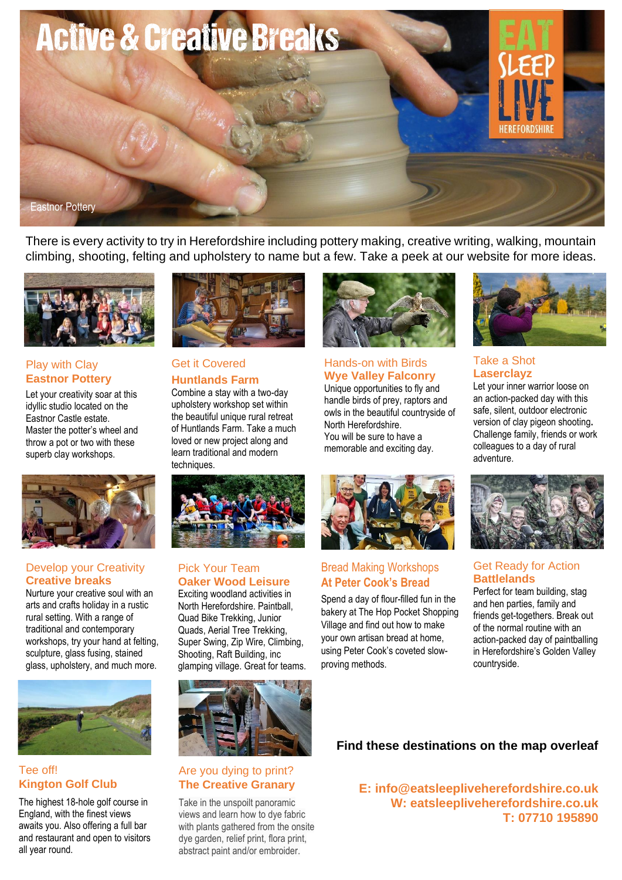

There is every activity to try in Herefordshire including pottery making, creative writing, walking, mountain climbing, shooting, felting and upholstery to name but a few. Take a peek at our website for more ideas.



## Play with Clay **Eastnor Pottery**

Let your creativity soar at this idyllic studio located on the Eastnor Castle estate. Master the potter's wheel and throw a pot or two with these superb clay workshops.



#### Develop your Creativity **Creative breaks**

Nurture your creative soul with an arts and crafts holiday in a rustic rural setting. With a range of traditional and contemporary workshops, try your hand at felting, sculpture, glass fusing, stained glass, upholstery, and much more.



## Tee off! **Kington Golf Club**

The highest 18-hole golf course in England, with the finest views awaits you. Also offering a full bar and restaurant and open to visitors all year round.



### Get it Covered **Huntlands Farm**

Combine a stay with a two-day upholstery workshop set within the beautiful unique rural retreat of Huntlands Farm. Take a much loved or new project along and learn traditional and modern techniques.



handle birds of prey, raptors and owls in the beautiful countryside of North Herefordshire. You will be sure to have a memorable and exciting day.



#### Take a Shot **Laserclayz**

Let your inner warrior loose on an action-packed day with this safe, silent, outdoor electronic version of clay pigeon shooting**.** Challenge family, friends or work colleagues to a day of rural adventure.



# Bread Making Workshops **At Peter Cook's Bread**

Spend a day of flour-filled fun in the bakery at The Hop Pocket Shopping Village and find out how to make your own artisan bread at home, using Peter Cook's coveted slowproving methods.



## Get Ready for Action **Battlelands**

Perfect for team building, stag and hen parties, family and friends get-togethers. Break out of the normal routine with an action-packed day of paintballing in Herefordshire's Golden Valley countryside.

# **Find these destinations on the map overleaf**

**E: [info@eatsleepliveherefordshire.co.uk](mailto:info@eatsleepliveherefordshire.co.uk) W: [eatsleepliveherefordshire.co.uk](https://www.eatsleepliveherefordshire.co.uk/) T: 07710 195890**



North Herefordshire. Paintball, Quad Bike Trekking, Junior Quads, Aerial Tree Trekking, Super Swing, Zip Wire, Climbing, Shooting, Raft Building, inc glamping village. Great for teams.



## Are you dying to print? **The Creative Granary**

Take in the unspoilt panoramic views and learn how to dye fabric with plants gathered from the onsite dye garden, relief print, flora print, abstract paint and/or embroider.